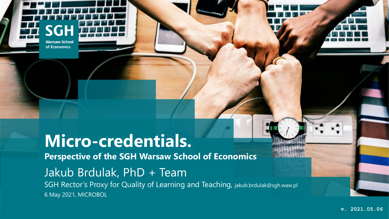**Warsaw School** of Economics

## **Micro-credentials.**

**Perspective of the SGH Warsaw School of Economics**

# Jakub Brdulak, PhD + Team

6 May 2021, MICROBOL SGH Rector's Proxy for Quality of Learning and Teaching, jakub.brdulak@sgh.waw.pl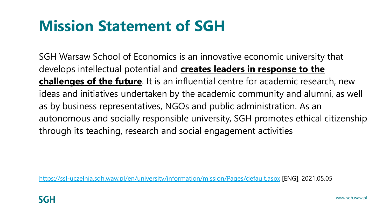## **Mission Statement of SGH**

SGH Warsaw School of Economics is an innovative economic university that develops intellectual potential and **creates leaders in response to the challenges of the future**. It is an influential centre for academic research, new ideas and initiatives undertaken by the academic community and alumni, as well as by business representatives, NGOs and public administration. As an autonomous and socially responsible university, SGH promotes ethical citizenship through its teaching, research and social engagement activities

<https://ssl-uczelnia.sgh.waw.pl/en/university/information/mission/Pages/default.aspx> [ENG], 2021.05.05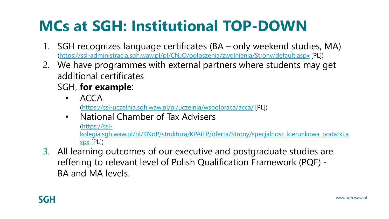# **MCs at SGH: Institutional TOP-DOWN**

- 1. SGH recognizes language certificates (BA only weekend studies, MA) [\(https://ssl-administracja.sgh.waw.pl/pl/CNJO/ogloszenia/zwolnienia/Strony/default.aspx](https://ssl-administracja.sgh.waw.pl/pl/CNJO/ogloszenia/zwolnienia/Strony/default.aspx) [PL])
- 2. We have programmes with external partners where students may get additional certificates

### SGH, **for example**:

- ACCA (<https://ssl-uczelnia.sgh.waw.pl/pl/uczelnia/wspolpraca/acca/> [PL])
- National Chamber of Tax Advisers

(https://ssl-

[kolegia.sgh.waw.pl/pl/KNoP/struktura/KPAiFP/oferta/Strony/specjalnosc\\_kierunkowa\\_podatki.a](https://ssl-kolegia.sgh.waw.pl/pl/KNoP/struktura/KPAiFP/oferta/Strony/specjalnosc_kierunkowa_podatki.aspx) spx [PL])

3. All learning outcomes of our executive and postgraduate studies are reffering to relevant level of Polish Qualification Framework (PQF) - BA and MA levels.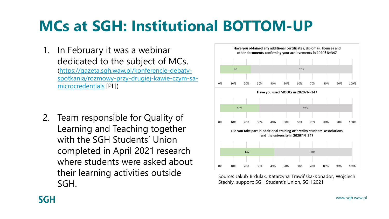## **MCs at SGH: Institutional BOTTOM-UP**

1. In February it was a webinar dedicated to the subject of MCs. (https://gazeta.sgh.waw.pl/konferencje-debaty[spotkania/rozmowy-przy-drugiej-kawie-czym-sa](https://gazeta.sgh.waw.pl/konferencje-debaty-spotkania/rozmowy-przy-drugiej-kawie-czym-sa-microcredentials)microcredentials [PL])

2. Team responsible for Quality of Learning and Teaching together with the SGH Students' Union completed in April 2021 research where students were asked about their learning activities outside SGH.



Source: Jakub Brdulak, Katarzyna Trawińska-Konador, Wojciech Stęchły, support: SGH Student's Union, SGH 2021

### **SGH**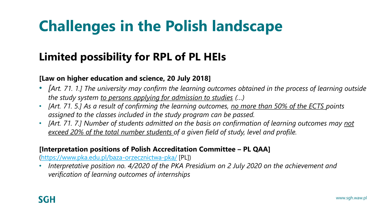# **Challenges in the Polish landscape**

### **Limited possibility for RPL of PL HEIs**

#### **[Law on higher education and science, 20 July 2018]**

- *[Art. 71. 1.] The university may confirm the learning outcomes obtained in the process of learning outside the study system to persons applying for admission to studies (…)*
- *[Art. 71. 5.] As a result of confirming the learning outcomes, no more than 50% of the ECTS points assigned to the classes included in the study program can be passed.*
- *[Art. 71. 7.] Number of students admitted on the basis on confirmation of learning outcomes may not exceed 20% of the total number students of a given field of study, level and profile.*

#### **[Interpretation positions of Polish Accreditation Committee – PL QAA]**

(<https://www.pka.edu.pl/baza-orzecznictwa-pka/> [PL])

• *Interpretative position no. 4/2020 of the PKA Presidium on 2 July 2020 on the achievement and verification of learning outcomes of internships*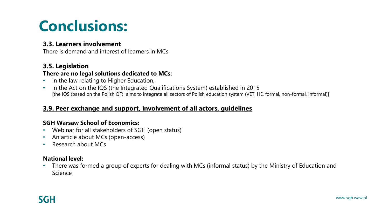## **Conclusions:**

#### **3.3. Learners involvement**

There is demand and interest of learners in MCs

#### **3.5. Legislation**

#### **There are no legal solutions dedicated to MCs:**

- In the law relating to Higher Education,
- In the Act on the IQS (the Integrated Qualifications System) established in 2015 [the IQS (based on the Polish QF) aims to integrate all sectors of Polish education system (VET, HE, formal, non-formal, informal)]

#### **3.9. Peer exchange and support, involvement of all actors, guidelines**

#### **SGH Warsaw School of Economics:**

- Webinar for all stakeholders of SGH (open status)
- An article about MCs (open-access)
- Research about MCs

#### **National level:**

• There was formed a group of experts for dealing with MCs (informal status) by the Ministry of Education and Science